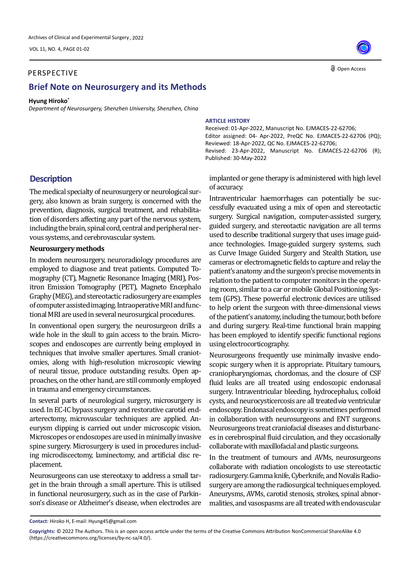VOL 11, NO. 4, PAGE 01-02

### PERSPECTIVE

## **Brief Note on Neurosurgery and its Methods**

#### **Hyung Hiroko\***

*Department of Neurosurgery, Shenzhen University, Shenzhen, China*

# **ARTICLE HISTORY**

Received: 01-Apr-2022, Manuscript No. EJMACES-22-62706; Editor assigned: 04- Apr-2022, PreQC No. EJMACES-22-62706 (PQ); Reviewed: 18-Apr-2022, QC No. EJMACES-22-62706; Revised: 23-Apr-2022, Manuscript No. EJMACES-22-62706 (R); Published: 30-May-2022

# **Description**

The medical specialty of neurosurgery or neurological surgery, also known as brain surgery, is concerned with the prevention, diagnosis, surgical treatment, and rehabilitation of disorders affecting any part of the nervous system, including the brain, spinal cord, central and peripheral nervous systems, and cerebrovascular system.

### **Neurosurgery methods**

In modern neurosurgery, neuroradiology procedures are employed to diagnose and treat patients. Computed Tomography (CT), Magnetic Resonance Imaging (MRI), Positron Emission Tomography (PET), Magneto Encephalo Graphy (MEG), and stereotactic radiosurgery are examples of computer assisted imaging. Intraoperative MRI and functional MRI are used in several neurosurgical procedures.

In conventional open surgery, the neurosurgeon drills a wide hole in the skull to gain access to the brain. Microscopes and endoscopes are currently being employed in techniques that involve smaller apertures. Small craniotomies, along with high-resolution microscopic viewing of neural tissue, produce outstanding results. Open approaches, on the other hand, are still commonly employed in trauma and emergency circumstances.

In several parts of neurological surgery, microsurgery is used. In EC-IC bypass surgery and restorative carotid endarterectomy, microvascular techniques are applied. Aneurysm clipping is carried out under microscopic vision. Microscopes or endoscopes are used in minimally invasive spine surgery. Microsurgery is used in procedures including microdiscectomy, laminectomy, and artificial disc replacement.

Neurosurgeons can use stereotaxy to address a small target in the brain through a small aperture. This is utilised in functional neurosurgery, such as in the case of Parkinson's disease or Alzheimer's disease, when electrodes are implanted or gene therapy is administered with high level of accuracy.

Intraventricular haemorrhages can potentially be successfully evacuated using a mix of open and stereotactic surgery. Surgical navigation, computer-assisted surgery, guided surgery, and stereotactic navigation are all terms used to describe traditional surgery that uses image guidance technologies. Image-guided surgery systems, such as Curve Image Guided Surgery and Stealth Station, use cameras or electromagnetic fields to capture and relay the patient's anatomy and the surgeon's precise movements in relation to the patient to computer monitors in the operating room, similar to a car or mobile Global Positioning System (GPS). These powerful electronic devices are utilised to help orient the surgeon with three-dimensional views of the patient's anatomy, including the tumour, both before and during surgery. Real-time functional brain mapping has been employed to identify specific functional regions using electrocorticography.

Neurosurgeons frequently use minimally invasive endoscopic surgery when it is appropriate. Pituitary tumours, craniopharyngiomas, chordomas, and the closure of CSF fluid leaks are all treated using endoscopic endonasal surgery. Intraventricular bleeding, hydrocephalus, colloid endoscopy. Endonasal endoscopy is sometimes performed in collaboration with neurosurgeons and ENT surgeons. Neurosurgeons treat craniofacial diseases and disturbances in cerebrospinal fluid circulation, and they occasionally collaborate with maxillofacial and plastic surgeons. cysts, and neurocysticercosis are all treated *via* ventricular

In the treatment of tumours and AVMs, neurosurgeons collaborate with radiation oncologists to use stereotactic radiosurgery. Gamma knife, Cyberknife, and Novalis Radiosurgery are among the radiosurgical techniques employed. Aneurysms, AVMs, carotid stenosis, strokes, spinal abnormalities, and vasospasms are all treated with endovascular



**Contact:** Hiroko H, E-mail: Hyung45@gmail.com

**Copyrights:** © 2022 The Authors. This is an open access article under the terms of the Creative Commons Attribution NonCommercial ShareAlike 4.0 (https://creativecommons.org/licenses/by-nc-sa/4.0/).